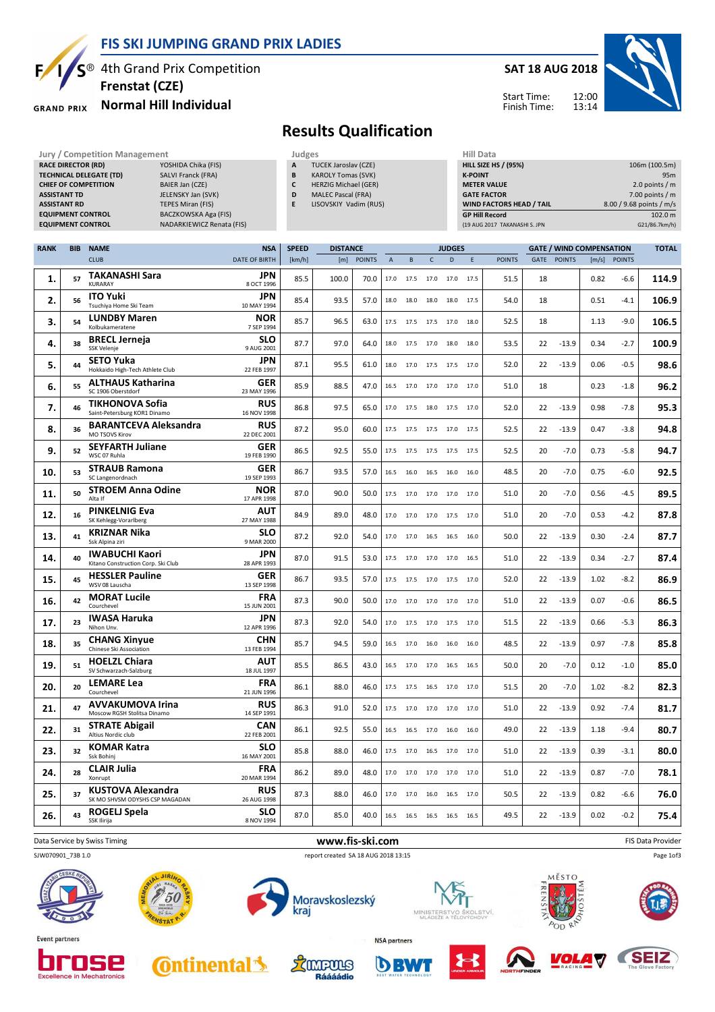

### **FIS SKI JUMPING GRAND PRIX LADIES**

**Frenstat (CZE)**

#### **Normal Hill Individual GRAND PRIX**

## **SAT 18 AUG 2018**



Start Time: Finish Time:

# **Results Qualification**

**Jury / Competition Management Judges Judges Hill Data**<br> **RACE DIRECTOR (RD)** YOSHIDA Chika (FIS) **A** TUCEK Jaroslav (CZE) **HILL SIZE H**ILL SIZE **RACE DIRECTOR (RD) TECHNICAL DELEGATE (TD)** SALVI Franck (FRA) **CHIEF OF COMPETITION** BAIER Jan (CZE) **ASSISTANT TD** JELENSKY Jan (SVK) **ASSISTANT RD** TEPES Miran (FIS) **EQUIPMENT CONTROL BACZKOWSKA Aga (FIS) EQUIPMENT CONTROL** NADARKIEWICZ Renata (FIS)

| Judges |                             |
|--------|-----------------------------|
| A      | <b>TUCEK Jaroslav (CZE)</b> |
| B      | <b>KAROLY Tomas (SVK)</b>   |
| C      | <b>HERZIG Michael (GER)</b> |
| D      | <b>MALEC Pascal (FRA)</b>   |
| E      | LISOVSKIY Vadim (RUS)       |

| niil Data                       |                          |
|---------------------------------|--------------------------|
| <b>HILL SIZE HS / (95%)</b>     | 106m (100.5m)            |
| <b>K-POINT</b>                  | 95 <sub>m</sub>          |
| <b>METER VALUE</b>              | 2.0 points $/m$          |
| <b>GATE FACTOR</b>              | 7.00 points $/m$         |
| <b>WIND FACTORS HEAD / TAIL</b> | 8.00 / 9.68 points / m/s |
| <b>GP Hill Record</b>           | 102.0 m                  |
| (19 AUG 2017 TAKANASHI S. JPN   | G21/86.7km/h)            |

| <b>RANK</b> | <b>BIB</b> | <b>NAME</b>                                                 | <b>NSA</b>                              | <b>SPEED</b> | <b>DISTANCE</b> |               |                |           |           | <b>JUDGES</b> |      |               | <b>GATE / WIND COMPENSATION</b> |             |      | <b>TOTAL</b> |       |
|-------------|------------|-------------------------------------------------------------|-----------------------------------------|--------------|-----------------|---------------|----------------|-----------|-----------|---------------|------|---------------|---------------------------------|-------------|------|--------------|-------|
|             |            | <b>CLUB</b>                                                 | <b>DATE OF BIRTH</b>                    | [km/h]       | [m]             | <b>POINTS</b> | $\overline{A}$ | B         | C         | D             | E    | <b>POINTS</b> |                                 | GATE POINTS |      | [m/s] POINTS |       |
| 1.          | 57         | <b>TAKANASHI Sara</b><br><b>KURARAY</b>                     | <b>JPN</b><br>8 OCT 1996                | 85.5         | 100.0           | 70.0          | 17.0           | 17.5      | 17.0      | 17.0          | 17.5 | 51.5          | 18                              |             | 0.82 | -6.6         | 114.9 |
| 2.          | 56         | <b>ITO Yuki</b><br>Tsuchiya Home Ski Team                   | <b>JPN</b><br>10 MAY 1994               | 85.4         | 93.5            | 57.0          | 18.0           | 18.0      | 18.0 18.0 |               | 17.5 | 54.0          | 18                              |             | 0.51 | $-4.1$       | 106.9 |
| 3.          | 54         | <b>LUNDBY Maren</b><br>Kolbukameratene                      | <b>NOR</b><br>7 SEP 1994                | 85.7         | 96.5            | 63.0          | 17.5           | 17.5      | 17.5      | 17.0          | 18.0 | 52.5          | 18                              |             | 1.13 | $-9.0$       | 106.5 |
| 4.          | 38         | <b>BRECL Jerneja</b><br>SSK Velenje                         | <b>SLO</b><br>9 AUG 2001                | 87.7         | 97.0            | 64.0          | 18.0           | 17.5      | 17.0      | 18.0          | 18.0 | 53.5          | 22                              | $-13.9$     | 0.34 | $-2.7$       | 100.9 |
| 5.          | 44         | <b>SETO Yuka</b><br>Hokkaido High-Tech Athlete Club         | <b>JPN</b><br>22 FEB 1997               | 87.1         | 95.5            | 61.0          | 18.0           | 17.0      |           | 17.5 17.5     | 17.0 | 52.0          | 22                              | $-13.9$     | 0.06 | $-0.5$       | 98.6  |
| 6.          | 55         | <b>ALTHAUS Katharina</b><br>SC 1906 Oberstdorf              | <b>GER</b><br>23 MAY 1996               | 85.9         | 88.5            | 47.0          | 16.5           | 17.0      | 17.0      | 17.0          | 17.0 | 51.0          | 18                              |             | 0.23 | $-1.8$       | 96.2  |
| 7.          | 46         | <b>TIKHONOVA Sofia</b><br>Saint-Petersburg KOR1 Dinamo      | <b>RUS</b><br>16 NOV 1998               | 86.8         | 97.5            | 65.0          | 17.0           | 17.5      | 18.0      | 17.5          | 17.0 | 52.0          | 22                              | $-13.9$     | 0.98 | $-7.8$       | 95.3  |
| 8.          | 36         | <b>BARANTCEVA Aleksandra</b><br>MO TSOVS Kirov              | <b>RUS</b><br>22 DEC 2001               | 87.2         | 95.0            | 60.0          | 17.5           | 17.5      | 17.5      | 17.0          | 17.5 | 52.5          | 22                              | $-13.9$     | 0.47 | $-3.8$       | 94.8  |
| 9.          | 52         | <b>SEYFARTH Juliane</b><br>WSC 07 Ruhla                     | <b>GER</b><br>19 FEB 1990               | 86.5         | 92.5            | 55.0          | 17.5           | 17.5      | 17.5 17.5 |               | 17.5 | 52.5          | 20                              | $-7.0$      | 0.73 | $-5.8$       | 94.7  |
| 10.         | 53         | <b>STRAUB Ramona</b><br>SC Langenordnach                    | GER<br>19 SEP 1993                      | 86.7         | 93.5            | 57.0          | 16.5           | 16.0      | 16.5      | 16.0          | 16.0 | 48.5          | 20                              | $-7.0$      | 0.75 | $-6.0$       | 92.5  |
| 11.         | 50         | <b>STROEM Anna Odine</b><br>Alta If                         | <b>NOR</b><br>17 APR 1998               | 87.0         | 90.0            | 50.0          | 17.5           | 17.0      | 17.0      | 17.0          | 17.0 | 51.0          | 20                              | $-7.0$      | 0.56 | $-4.5$       | 89.5  |
| 12.         | 16         | <b>PINKELNIG Eva</b><br>SK Kehlegg-Vorarlberg               | <b>AUT</b><br>27 MAY 1988               | 84.9         | 89.0            | 48.0          | 17.0           | 17.0      | 17.0      | 17.5          | 17.0 | 51.0          | 20                              | $-7.0$      | 0.53 | $-4.2$       | 87.8  |
| 13.         | 41         | <b>KRIZNAR Nika</b><br>Ssk Alpina ziri                      | <b>SLO</b><br>9 MAR 2000                | 87.2         | 92.0            | 54.0          | 17.0           | 17.0      | 16.5      | 16.5          | 16.0 | 50.0          | 22                              | $-13.9$     | 0.30 | $-2.4$       | 87.7  |
| 14          | 40         | <b>IWABUCHI Kaori</b><br>Kitano Construction Corp. Ski Club | <b>JPN</b><br>28 APR 1993<br><b>GER</b> | 87.0         | 91.5            | 53.0          | 17.5           | 17.0      | 17.0      | 17.0          | 16.5 | 51.0          | 22                              | $-13.9$     | 0.34 | $-2.7$       | 87.4  |
| 15.         | 45         | <b>HESSLER Pauline</b><br>WSV 08 Lauscha                    | 13 SEP 1998<br><b>FRA</b>               | 86.7         | 93.5            | 57.0          | 17.5           | 17.5      | 17.0      | 17.5          | 17.0 | 52.0          | 22                              | $-13.9$     | 1.02 | $-8.2$       | 86.9  |
| 16.         | 42         | <b>MORAT Lucile</b><br>Courchevel                           | 15 JUN 2001                             | 87.3         | 90.0            | 50.0          | 17.0           | 17.0      | 17.0      | 17.0          | 17.0 | 51.0          | 22                              | $-13.9$     | 0.07 | $-0.6$       | 86.5  |
| 17.         | 23         | <b>IWASA Haruka</b><br>Nihon Unv.                           | <b>JPN</b><br>12 APR 1996<br><b>CHN</b> | 87.3         | 92.0            | 54.0          | 17.0           | 17.5      | 17.0      | 17.5          | 17.0 | 51.5          | 22                              | $-13.9$     | 0.66 | $-5.3$       | 86.3  |
| 18.         | 35         | <b>CHANG Xinyue</b><br>Chinese Ski Association              | 13 FEB 1994                             | 85.7         | 94.5            | 59.0          | 16.5           | 17.0      | 16.0      | 16.0          | 16.0 | 48.5          | 22                              | $-13.9$     | 0.97 | $-7.8$       | 85.8  |
| 19.         | 51         | <b>HOELZL Chiara</b><br>SV Schwarzach-Salzburg              | <b>AUT</b><br>18 JUL 1997               | 85.5         | 86.5            | 43.0          | 16.5           | 17.0      | 17.0      | 16.5          | 16.5 | 50.0          | 20                              | $-7.0$      | 0.12 | $-1.0$       | 85.0  |
| 20.         | 20         | <b>LEMARE Lea</b><br>Courchevel<br><b>AVVAKUMOVA Irina</b>  | <b>FRA</b><br>21 JUN 1996<br><b>RUS</b> | 86.1         | 88.0            | 46.0          |                | 17.5 17.5 | 16.5 17.0 |               | 17.0 | 51.5          | 20                              | $-7.0$      | 1.02 | $-8.2$       | 82.3  |
| 21.         | 47         | Moscow RGSH Stolitsa Dinamo<br><b>STRATE Abigail</b>        | 14 SEP 1991<br><b>CAN</b>               | 86.3         | 91.0            | 52.0          | 17.5           | 17.0      | 17.0 17.0 |               | 17.0 | 51.0          | 22                              | $-13.9$     | 0.92 | $-7.4$       | 81.7  |
| 22.         | 31         | Altius Nordic club                                          | 22 FEB 2001                             | 86.1         | 92.5            | 55.0          | 16.5           | 16.5      | 17.0      | 16.0          | 16.0 | 49.0          | 22                              | $-13.9$     | 1.18 | $-9.4$       | 80.7  |
| 23.         | 32         | <b>KOMAR Katra</b><br>Ssk Bohinj                            | <b>SLO</b><br>16 MAY 2001               | 85.8         | 88.0            | 46.0          | 17.5           | 17.0      | 16.5      | 17.0          | 17.0 | 51.0          | 22                              | $-13.9$     | 0.39 | $-3.1$       | 80.0  |
| 24.         | 28         | <b>CLAIR Julia</b><br>Xonrupt                               | <b>FRA</b><br>20 MAR 1994               | 86.2         | 89.0            | 48.0          | 17.0           | 17.0      | 17.0 17.0 |               | 17.0 | 51.0          | 22                              | $-13.9$     | 0.87 | $-7.0$       | 78.1  |
| 25.         | 37         | <b>KUSTOVA Alexandra</b><br>SK MO SHVSM ODYSHS CSP MAGADAN  | <b>RUS</b><br>26 AUG 1998               | 87.3         | 88.0            | 46.0          | 17.0           | 17.0      | 16.0      | 16.5          | 17.0 | 50.5          | 22                              | $-13.9$     | 0.82 | $-6.6$       | 76.0  |
| 26.         | 43         | <b>ROGELJ Spela</b><br>SSK Ilirija                          | <b>SLO</b><br>8 NOV 1994                | 87.0         | 85.0            | 40.0          | 16.5           | 16.5      | 16.5 16.5 |               | 16.5 | 49.5          | 22                              | $-13.9$     | 0.02 | $-0.2$       | 75.4  |

## SJW070901\_73B 1.0 report created SA 18 AUG 2018 13:15

**Data Service by Swiss Timing** FIS Data Provider **www.fis-ski.com** FIS Data Provider

Page 1of3















**Excellence in Mechatronics** 









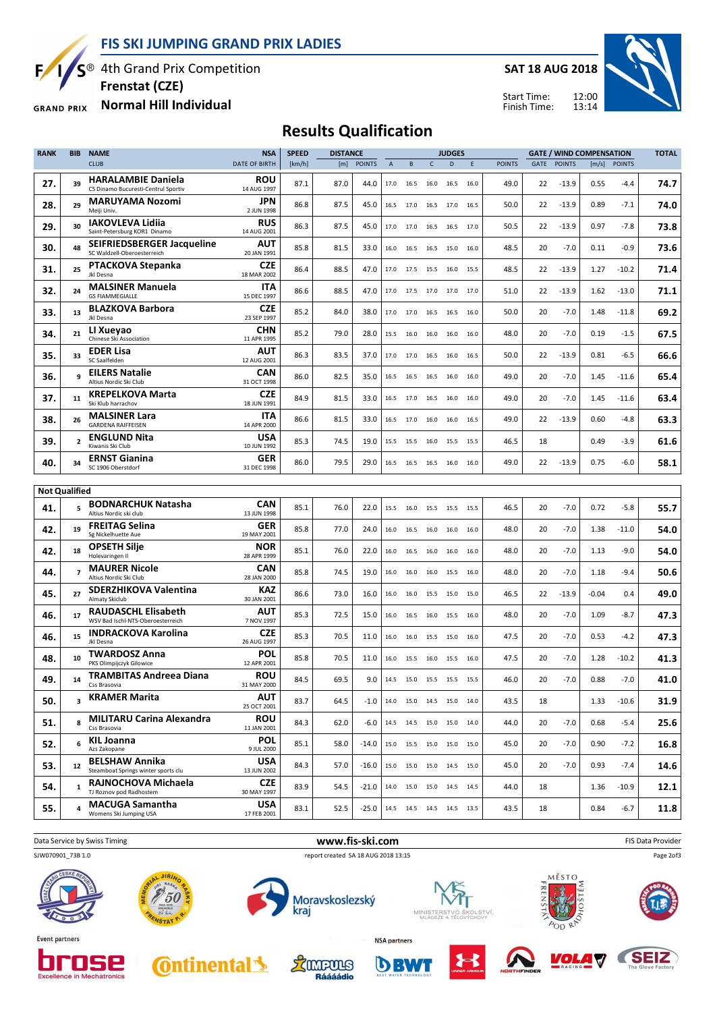**FIS SKI JUMPING GRAND PRIX LADIES**



**Excellence in Mechatronics** 

S<sup>®</sup> 4th Grand Prix Competition

**Frenstat (CZE)**

**Normal Hill Individual GRAND PRIX** 

**SAT 18 AUG 2018**

Start Time: Finish Time:



# **Results Qualification**

| <b>RANK</b>          | <b>BIB</b>              | <b>NAME</b>                                                      | <b>NSA</b>                | <b>SPEED</b> | <b>DISTANCE</b> |               |             |                |      | <b>JUDGES</b>                        |      |               |             |               | <b>GATE / WIND COMPENSATION</b> |               | <b>TOTAL</b> |
|----------------------|-------------------------|------------------------------------------------------------------|---------------------------|--------------|-----------------|---------------|-------------|----------------|------|--------------------------------------|------|---------------|-------------|---------------|---------------------------------|---------------|--------------|
|                      |                         | <b>CLUB</b>                                                      | <b>DATE OF BIRTH</b>      | [km/h]       | [m]             | <b>POINTS</b> | $\mathsf A$ | В              | C    | D                                    | E    | <b>POINTS</b> | <b>GATE</b> | <b>POINTS</b> | [m/s]                           | <b>POINTS</b> |              |
| 27.                  | 39                      | <b>HARALAMBIE Daniela</b><br>CS Dinamo Bucuresti-Centrul Sportiv | ROU<br>14 AUG 1997        | 87.1         | 87.0            | 44.0          | 17.0        | 16.5           | 16.0 | 16.5                                 | 16.0 | 49.0          | 22          | $-13.9$       | 0.55                            | -4.4          | 74.7         |
| 28.                  | 29                      | <b>MARUYAMA Nozomi</b><br>Meiji Univ.                            | <b>JPN</b><br>2 JUN 1998  | 86.8         | 87.5            | 45.0          | 16.5        | 17.0           | 16.5 | 17.0                                 | 16.5 | 50.0          | 22          | $-13.9$       | 0.89                            | $-7.1$        | 74.0         |
| 29.                  | 30                      | IAKOVLEVA Lidiia<br>Saint-Petersburg KOR1 Dinamo                 | <b>RUS</b><br>14 AUG 2001 | 86.3         | 87.5            | 45.0          | 17.0        | 17.0           | 16.5 | 16.5                                 | 17.0 | 50.5          | 22          | $-13.9$       | 0.97                            | $-7.8$        | 73.8         |
| 30.                  | 48                      | SEIFRIEDSBERGER Jacqueline<br>SC Waldzell-Oberoesterreich        | AUT<br>20 JAN 1991        | 85.8         | 81.5            | 33.0          | 16.0        | 16.5           | 16.5 | 15.0                                 | 16.0 | 48.5          | 20          | $-7.0$        | 0.11                            | $-0.9$        | 73.6         |
| 31.                  | 25                      | <b>PTACKOVA Stepanka</b><br>Jkl Desna                            | <b>CZE</b><br>18 MAR 2002 | 86.4         | 88.5            | 47.0          | 17.0        | 17.5           | 15.5 | 16.0                                 | 15.5 | 48.5          | 22          | $-13.9$       | 1.27                            | $-10.2$       | 71.4         |
| 32.                  | 24                      | <b>MALSINER Manuela</b><br><b>GS FIAMMEGIALLE</b>                | <b>ITA</b><br>15 DEC 1997 | 86.6         | 88.5            | 47.0          | 17.0        | 17.5           | 17.0 | 17.0                                 | 17.0 | 51.0          | 22          | $-13.9$       | 1.62                            | $-13.0$       | 71.1         |
| 33.                  | 13                      | <b>BLAZKOVA Barbora</b><br>Jkl Desna                             | <b>CZE</b><br>23 SEP 1997 | 85.2         | 84.0            | 38.0          | 17.0        | 17.0           | 16.5 | 16.5                                 | 16.0 | 50.0          | 20          | $-7.0$        | 1.48                            | $-11.8$       | 69.2         |
| 34.                  | 21                      | LI Xueyao<br>Chinese Ski Association                             | <b>CHN</b><br>11 APR 1995 | 85.2         | 79.0            | 28.0          | 15.5        | 16.0           | 16.0 | 16.0                                 | 16.0 | 48.0          | 20          | $-7.0$        | 0.19                            | $-1.5$        | 67.5         |
| 35.                  | 33                      | <b>EDER Lisa</b><br>SC Saalfelden                                | <b>AUT</b><br>12 AUG 2001 | 86.3         | 83.5            | 37.0          | 17.0        | 17.0           | 16.5 | 16.0                                 | 16.5 | 50.0          | 22          | $-13.9$       | 0.81                            | $-6.5$        | 66.6         |
| 36.                  | 9                       | <b>EILERS Natalie</b><br>Altius Nordic Ski Club                  | CAN<br>31 OCT 1998        | 86.0         | 82.5            | 35.0          | 16.5        | 16.5           | 16.5 | 16.0                                 | 16.0 | 49.0          | 20          | $-7.0$        | 1.45                            | $-11.6$       | 65.4         |
| 37.                  | 11                      | <b>KREPELKOVA Marta</b><br>Ski Klub harrachov                    | <b>CZE</b><br>18 JUN 1991 | 84.9         | 81.5            | 33.0          | 16.5        | 17.0           | 16.5 | 16.0                                 | 16.0 | 49.0          | 20          | $-7.0$        | 1.45                            | $-11.6$       | 63.4         |
| 38.                  | 26                      | <b>MALSINER Lara</b><br><b>GARDENA RAIFFEISEN</b>                | ITA<br>14 APR 2000        | 86.6         | 81.5            | 33.0          | 16.5        | 17.0           | 16.0 | 16.0                                 | 16.5 | 49.0          | 22          | $-13.9$       | 0.60                            | $-4.8$        | 63.3         |
| 39.                  | $\overline{2}$          | <b>ENGLUND Nita</b><br>Kiwanis Ski Club                          | <b>USA</b><br>10 JUN 1992 | 85.3         | 74.5            | 19.0          | 15.5        | 15.5           | 16.0 | 15.5                                 | 15.5 | 46.5          | 18          |               | 0.49                            | $-3.9$        | 61.6         |
| 40.                  | 34                      | <b>ERNST Gianina</b><br>SC 1906 Oberstdorf                       | <b>GER</b><br>31 DEC 1998 | 86.0         | 79.5            | 29.0          | 16.5        | 16.5           | 16.5 | 16.0                                 | 16.0 | 49.0          | 22          | $-13.9$       | 0.75                            | $-6.0$        | 58.1         |
|                      |                         |                                                                  |                           |              |                 |               |             |                |      |                                      |      |               |             |               |                                 |               |              |
| <b>Not Qualified</b> |                         |                                                                  |                           |              |                 |               |             |                |      |                                      |      |               |             |               |                                 |               |              |
| 41.                  | 5                       | <b>BODNARCHUK Natasha</b><br>Altius Nordic ski club              | CAN<br>13 JUN 1998        | 85.1         | 76.0            | 22.0          | 15.5        | 16.0           | 15.5 | 15.5                                 | 15.5 | 46.5          | 20          | $-7.0$        | 0.72                            | $-5.8$        | 55.7         |
| 42.                  | 19                      | <b>FREITAG Selina</b><br>Sg Nickelhuette Aue                     | <b>GER</b><br>19 MAY 2001 | 85.8         | 77.0            | 24.0          | 16.0        | 16.5           | 16.0 | 16.0                                 | 16.0 | 48.0          | 20          | $-7.0$        | 1.38                            | $-11.0$       | 54.0         |
| 42.                  | 18                      | <b>OPSETH Silje</b><br>Holevaringen II                           | <b>NOR</b><br>28 APR 1999 | 85.1         | 76.0            | 22.0          | 16.0        | 16.5           | 16.0 | 16.0                                 | 16.0 | 48.0          | 20          | $-7.0$        | 1.13                            | $-9.0$        | 54.0         |
| 44.                  | $\overline{7}$          | <b>MAURER Nicole</b><br>Altius Nordic Ski Club                   | CAN<br>28 JAN 2000        | 85.8         | 74.5            | 19.0          | 16.0        | 16.0           | 16.0 | 15.5                                 | 16.0 | 48.0          | 20          | $-7.0$        | 1.18                            | $-9.4$        | 50.6         |
| 45.                  | 27                      | <b>SDERZHIKOVA Valentina</b><br>Almaty Skiclub                   | KAZ<br>30 JAN 2001        | 86.6         | 73.0            | 16.0          | 16.0        | 16.0           | 15.5 | 15.0                                 | 15.0 | 46.5          | 22          | $-13.9$       | $-0.04$                         | 0.4           | 49.0         |
| 46.                  | 17                      | <b>RAUDASCHL Elisabeth</b><br>WSV Bad Ischl-NTS-Oberoesterreich  | AUT<br>7 NOV 1997         | 85.3         | 72.5            | 15.0          | 16.0        | 16.5           | 16.0 | 15.5                                 | 16.0 | 48.0          | 20          | $-7.0$        | 1.09                            | $-8.7$        | 47.3         |
| 46.                  | 15                      | <b>INDRACKOVA Karolina</b><br>Jkl Desna                          | <b>CZE</b><br>26 AUG 1997 | 85.3         | 70.5            | 11.0          | 16.0        | 16.0           | 15.5 | 15.0                                 | 16.0 | 47.5          | 20          | $-7.0$        | 0.53                            | $-4.2$        | 47.3         |
| 48.                  | 10                      | <b>TWARDOSZ Anna</b><br>PKS Olimpijczyk Gilowice                 | POL<br>12 APR 2001        | 85.8         | 70.5            | 11.0          | 16.0        | 15.5           | 16.0 | 15.5                                 | 16.0 | 47.5          | 20          | $-7.0$        | 1.28                            | $-10.2$       | 41.3         |
| 49.                  | 14                      | <b>TRAMBITAS Andreea Diana</b><br>Css Brasovia                   | <b>ROU</b><br>31 MAY 2000 | 84.5         | 69.5            | 9.0           | 14.5        | 15.0 15.5 15.5 |      |                                      | 15.5 | 46.0          | 20          | $-7.0$        | 0.88                            | $-7.0$        | 41.0         |
| 50.                  | $\overline{\mathbf{3}}$ | <b>KRAMER Marita</b>                                             | <b>AUT</b><br>25 OCT 2001 | 83.7         | 64.5            | -1.0          |             |                |      | 14.0  15.0  14.5  15.0  14.0         |      | 43.5          | 18          |               | 1.33                            | $-10.6$       | 31.9         |
| 51.                  | 8                       | <b>MILITARU Carina Alexandra</b><br>Css Brasovia                 | <b>ROU</b><br>11 JAN 2001 | 84.3         | 62.0            | -6.0          |             |                |      | 14.5 14.5 15.0 15.0 14.0             |      | 44.0          | 20          | $-7.0$        | 0.68                            | $-5.4$        | 25.6         |
| 52.                  | 6                       | <b>KIL Joanna</b><br>Azs Zakopane                                | <b>POL</b><br>9 JUL 2000  | 85.1         | 58.0            | -14.0         |             |                |      | 15.0   15.5   15.0   15.0   15.0     |      | 45.0          | 20          | $-7.0$        | 0.90                            | $-7.2$        | 16.8         |
| 53.                  | 12                      | <b>BELSHAW Annika</b><br>Steamboat Springs winter sports clu     | <b>USA</b><br>13 JUN 2002 | 84.3         | 57.0            | $-16.0$       |             |                |      | 15.0   15.0   15.0   14.5   15.0     |      | 45.0          | 20          | $-7.0$        | 0.93                            | $-7.4$        | 14.6         |
| 54.                  | $\mathbf{1}$            | RAJNOCHOVA Michaela<br>TJ Roznov pod Radhostem                   | <b>CZE</b><br>30 MAY 1997 | 83.9         | 54.5            | $-21.0$       |             |                |      | 14.0  15.0  15.0  14.5  14.5         |      | 44.0          | 18          |               | 1.36                            | $-10.9$       | 12.1         |
| 55.                  | 4                       | <b>MACUGA Samantha</b><br>Womens Ski Jumping USA                 | <b>USA</b><br>17 FEB 2001 | 83.1         | 52.5            | $-25.0$       |             |                |      | 14.5    14.5    14.5    14.5    13.5 |      | 43.5          | 18          |               | 0.84                            | $-6.7$        | 11.8         |

**Data Service by Swiss Timing** FIS Data Provider **www.fis-ski.com EIS Data Provider** FIS Data Provider Page 2of3SJW070901\_73B 1.0 report created SA 18 AUG 2018 13:15 Moravskoslezský kraj **MINISTE Event partners NSA** partners **SEIZ** Lampurs *VOLA 7* E **Continental** oros DBW

Ráááádio